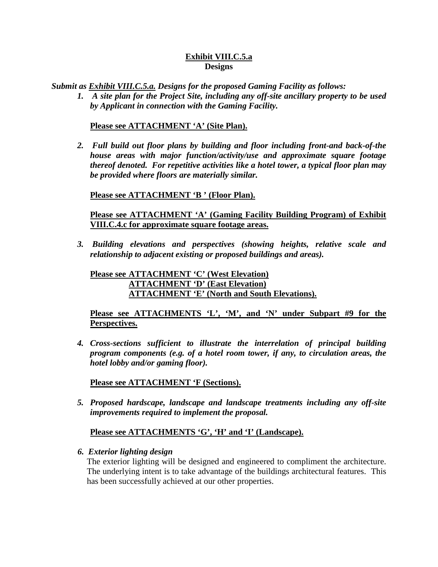### **Exhibit VIII.C.5.a Designs**

*Submit as Exhibit VIII.C.5.a. Designs for the proposed Gaming Facility as follows:*

*1. A site plan for the Project Site, including any off-site ancillary property to be used by Applicant in connection with the Gaming Facility.*

### **Please see ATTACHMENT 'A' (Site Plan).**

*2. Full build out floor plans by building and floor including front-and back-of-the house areas with major function/activity/use and approximate square footage thereof denoted. For repetitive activities like a hotel tower, a typical floor plan may be provided where floors are materially similar.*

**Please see ATTACHMENT 'B ' (Floor Plan).**

**Please see ATTACHMENT 'A' (Gaming Facility Building Program) of Exhibit VIII.C.4.c for approximate square footage areas.**

*3. Building elevations and perspectives (showing heights, relative scale and relationship to adjacent existing or proposed buildings and areas).*

**Please see ATTACHMENT 'C' (West Elevation) ATTACHMENT 'D' (East Elevation) ATTACHMENT 'E' (North and South Elevations).**

**Please see ATTACHMENTS 'L', 'M', and 'N' under Subpart #9 for the Perspectives.**

*4. Cross-sections sufficient to illustrate the interrelation of principal building program components (e.g. of a hotel room tower, if any, to circulation areas, the hotel lobby and/or gaming floor).*

**Please see ATTACHMENT 'F (Sections).**

*5. Proposed hardscape, landscape and landscape treatments including any off-site improvements required to implement the proposal.*

# **Please see ATTACHMENTS 'G', 'H' and 'I' (Landscape).**

#### *6. Exterior lighting design*

The exterior lighting will be designed and engineered to compliment the architecture. The underlying intent is to take advantage of the buildings architectural features. This has been successfully achieved at our other properties.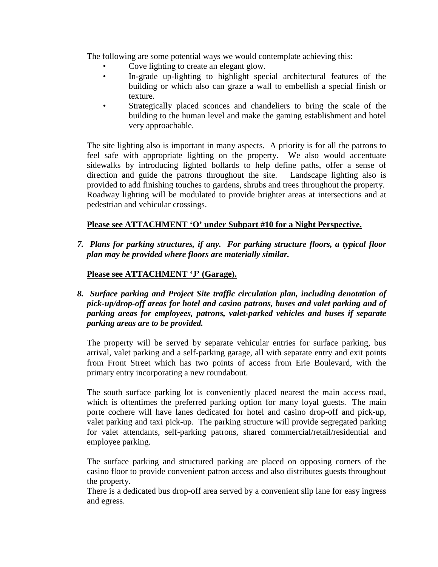The following are some potential ways we would contemplate achieving this:

- Cove lighting to create an elegant glow.
- In-grade up-lighting to highlight special architectural features of the building or which also can graze a wall to embellish a special finish or texture.
- Strategically placed sconces and chandeliers to bring the scale of the building to the human level and make the gaming establishment and hotel very approachable.

The site lighting also is important in many aspects. A priority is for all the patrons to feel safe with appropriate lighting on the property. We also would accentuate sidewalks by introducing lighted bollards to help define paths, offer a sense of direction and guide the patrons throughout the site. Landscape lighting also is provided to add finishing touches to gardens, shrubs and trees throughout the property. Roadway lighting will be modulated to provide brighter areas at intersections and at pedestrian and vehicular crossings.

# **Please see ATTACHMENT 'O' under Subpart #10 for a Night Perspective.**

*7. Plans for parking structures, if any. For parking structure floors, a typical floor plan may be provided where floors are materially similar.*

# **Please see ATTACHMENT 'J' (Garage).**

*8. Surface parking and Project Site traffic circulation plan, including denotation of pick-up/drop-off areas for hotel and casino patrons, buses and valet parking and of parking areas for employees, patrons, valet-parked vehicles and buses if separate parking areas are to be provided.*

The property will be served by separate vehicular entries for surface parking, bus arrival, valet parking and a self-parking garage, all with separate entry and exit points from Front Street which has two points of access from Erie Boulevard, with the primary entry incorporating a new roundabout.

The south surface parking lot is conveniently placed nearest the main access road, which is oftentimes the preferred parking option for many loyal guests. The main porte cochere will have lanes dedicated for hotel and casino drop-off and pick-up, valet parking and taxi pick-up. The parking structure will provide segregated parking for valet attendants, self-parking patrons, shared commercial/retail/residential and employee parking.

The surface parking and structured parking are placed on opposing corners of the casino floor to provide convenient patron access and also distributes guests throughout the property.

There is a dedicated bus drop-off area served by a convenient slip lane for easy ingress and egress.